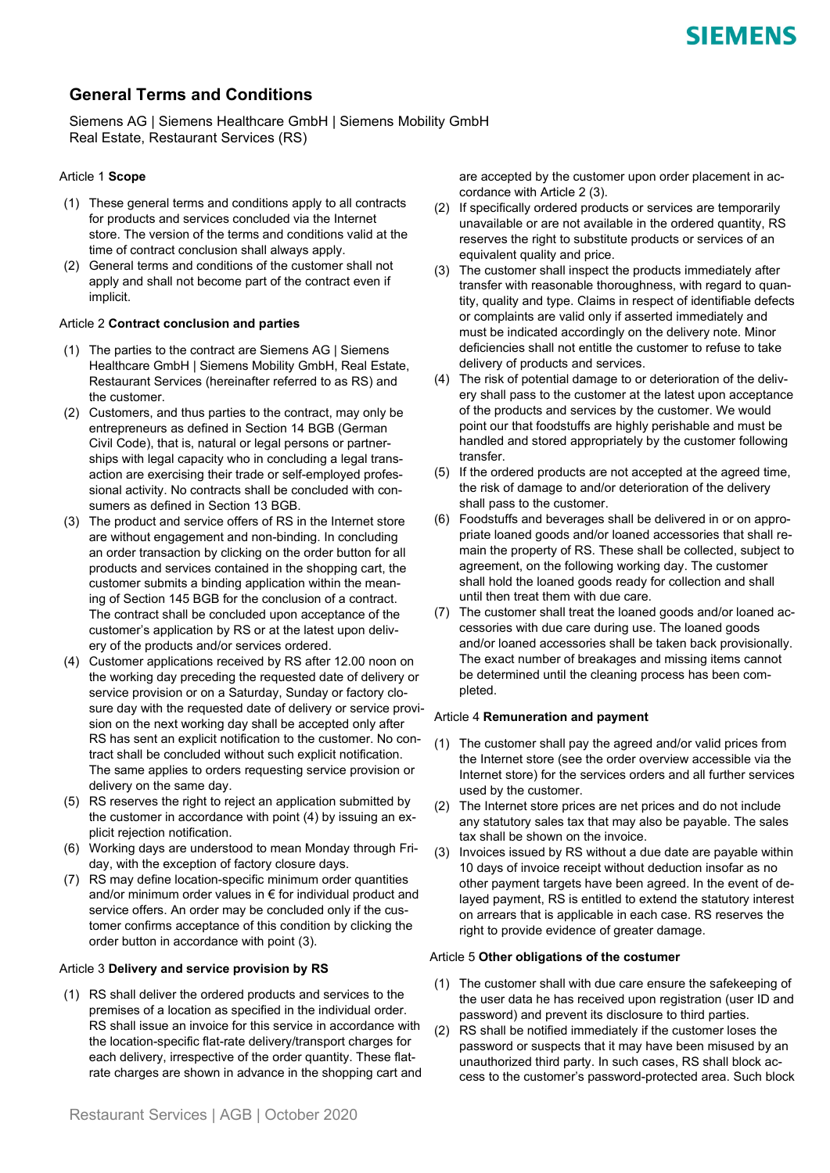# **General Terms and Conditions**

Siemens AG | Siemens Healthcare GmbH | Siemens Mobility GmbH Real Estate, Restaurant Services (RS)

## Article 1 **Scope**

- (1) These general terms and conditions apply to all contracts for products and services concluded via the Internet store. The version of the terms and conditions valid at the time of contract conclusion shall always apply.
- (2) General terms and conditions of the customer shall not apply and shall not become part of the contract even if implicit.

## Article 2 **Contract conclusion and parties**

- (1) The parties to the contract are Siemens AG | Siemens Healthcare GmbH | Siemens Mobility GmbH, Real Estate, Restaurant Services (hereinafter referred to as RS) and the customer.
- (2) Customers, and thus parties to the contract, may only be entrepreneurs as defined in Section 14 BGB (German Civil Code), that is, natural or legal persons or partnerships with legal capacity who in concluding a legal transaction are exercising their trade or self-employed professional activity. No contracts shall be concluded with consumers as defined in Section 13 BGB.
- (3) The product and service offers of RS in the Internet store are without engagement and non-binding. In concluding an order transaction by clicking on the order button for all products and services contained in the shopping cart, the customer submits a binding application within the meaning of Section 145 BGB for the conclusion of a contract. The contract shall be concluded upon acceptance of the customer's application by RS or at the latest upon delivery of the products and/or services ordered.
- (4) Customer applications received by RS after 12.00 noon on the working day preceding the requested date of delivery or service provision or on a Saturday, Sunday or factory closure day with the requested date of delivery or service provision on the next working day shall be accepted only after RS has sent an explicit notification to the customer. No contract shall be concluded without such explicit notification. The same applies to orders requesting service provision or delivery on the same day.
- (5) RS reserves the right to reject an application submitted by the customer in accordance with point (4) by issuing an explicit rejection notification.
- (6) Working days are understood to mean Monday through Friday, with the exception of factory closure days.
- (7) RS may define location-specific minimum order quantities and/or minimum order values in € for individual product and service offers. An order may be concluded only if the customer confirms acceptance of this condition by clicking the order button in accordance with point (3).

## Article 3 **Delivery and service provision by RS**

(1) RS shall deliver the ordered products and services to the premises of a location as specified in the individual order. RS shall issue an invoice for this service in accordance with the location-specific flat-rate delivery/transport charges for each delivery, irrespective of the order quantity. These flatrate charges are shown in advance in the shopping cart and

- (2) If specifically ordered products or services are temporarily unavailable or are not available in the ordered quantity, RS reserves the right to substitute products or services of an equivalent quality and price.
- (3) The customer shall inspect the products immediately after transfer with reasonable thoroughness, with regard to quantity, quality and type. Claims in respect of identifiable defects or complaints are valid only if asserted immediately and must be indicated accordingly on the delivery note. Minor deficiencies shall not entitle the customer to refuse to take delivery of products and services.
- (4) The risk of potential damage to or deterioration of the delivery shall pass to the customer at the latest upon acceptance of the products and services by the customer. We would point our that foodstuffs are highly perishable and must be handled and stored appropriately by the customer following transfer.
- (5) If the ordered products are not accepted at the agreed time, the risk of damage to and/or deterioration of the delivery shall pass to the customer.
- (6) Foodstuffs and beverages shall be delivered in or on appropriate loaned goods and/or loaned accessories that shall remain the property of RS. These shall be collected, subject to agreement, on the following working day. The customer shall hold the loaned goods ready for collection and shall until then treat them with due care.
- (7) The customer shall treat the loaned goods and/or loaned accessories with due care during use. The loaned goods and/or loaned accessories shall be taken back provisionally. The exact number of breakages and missing items cannot be determined until the cleaning process has been completed.

## Article 4 **Remuneration and payment**

- (1) The customer shall pay the agreed and/or valid prices from the Internet store (see the order overview accessible via the Internet store) for the services orders and all further services used by the customer.
- (2) The Internet store prices are net prices and do not include any statutory sales tax that may also be payable. The sales tax shall be shown on the invoice.
- (3) Invoices issued by RS without a due date are payable within 10 days of invoice receipt without deduction insofar as no other payment targets have been agreed. In the event of delayed payment, RS is entitled to extend the statutory interest on arrears that is applicable in each case. RS reserves the right to provide evidence of greater damage.

## Article 5 **Other obligations of the costumer**

- (1) The customer shall with due care ensure the safekeeping of the user data he has received upon registration (user ID and password) and prevent its disclosure to third parties.
- (2) RS shall be notified immediately if the customer loses the password or suspects that it may have been misused by an unauthorized third party. In such cases, RS shall block access to the customer's password-protected area. Such block